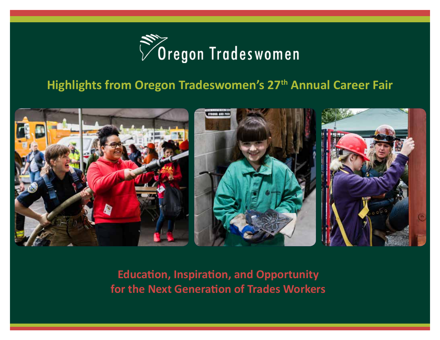

## **Highlights from Oregon Tradeswomen's 27th Annual Career Fair**



**Education, Inspiration, and Opportunity for the Next Generation of Trades Workers**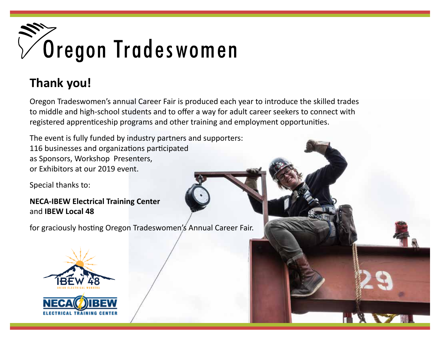

# **Thank you!**

Oregon Tradeswomen's annual Career Fair is produced each year to introduce the skilled trades to middle and high-school students and to offer a way for adult career seekers to connect with registered apprenticeship programs and other training and employment opportunities.

The event is fully funded by industry partners and supporters: 116 businesses and organizations participated as Sponsors, Workshop Presenters, or Exhibitors at our 2019 event.

Special thanks to:

**NECA-IBEW Electrical Training Center** and **IBEW Local 48** 

for graciously hosting Oregon Tradeswomen's Annual Career Fair.

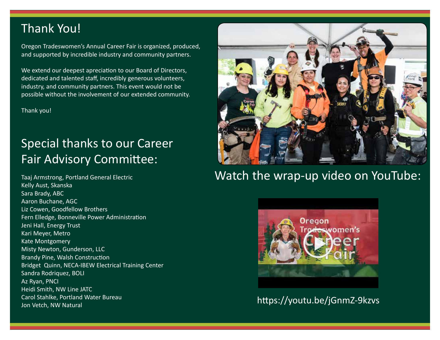## Thank You!

Oregon Tradeswomen's Annual Career Fair is organized, produced, and supported by incredible industry and community partners.

We extend our deepest apreciation to our Board of Directors, dedicated and talented staff, incredibly generous volunteers, industry, and community partners. This event would not be possible without the involvement of our extended community.

Thank you!

# Special thanks to our Career Fair Advisory Committee:

Taaj Armstrong, Portland General Electric Kelly Aust, Skanska Sara Brady, ABC Aaron Buchane, AGC Liz Cowen, Goodfellow Brothers Fern Elledge, Bonneville Power Administration Jeni Hall, Energy Trust Kari Meyer, Metro Kate Montgomery Misty Newton, Gunderson, LLC Brandy Pine, Walsh Construction Bridget Quinn, NECA-IBEW Electrical Training Center Sandra Rodriquez, BOLI Az Ryan, PNCI Heidi Smith, NW Line JATC Carol Stahlke, Portland Water Bureau Jon Vetch, NW Natural



## Watch the wrap-up video on YouTube:



https://youtu.be/jGnmZ-9kzvs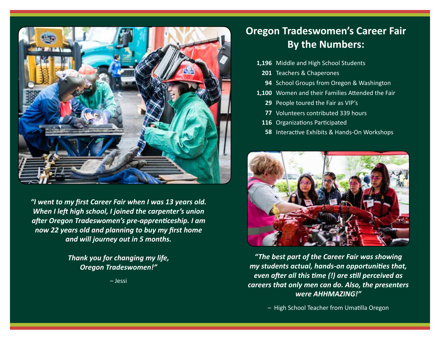

*"I went to my first Career Fair when I was 13 years old. When I left high school, I joined the carpenter's union after Oregon Tradeswomen's pre-apprenticeship. I am now 22 years old and planning to buy my first home and will journey out in 5 months.* 

> *Thank you for changing my life, Oregon Tradeswomen!"*

> > – Jessi

### **Oregon Tradeswomen's Career Fair By the Numbers:**

- 1,196 Middle and High School Students
	- 201 Teachers & Chaperones
	- 94 School Groups from Oregon & Washington
- 1,100 Women and their Families Attended the Fair
	- 29 People toured the Fair as VIP's
	- 77 Volunteers contributed 339 hours
	- 116 Organizations Participated
	- **58** Interactive Exhibits & Hands-On Workshops



*"The best part of the Career Fair was showing my students actual, hands-on opportunities that, even after all this time (!) are still perceived as careers that only men can do. Also, the presenters were AHHMAZING!"*

– High School Teacher from Umatilla Oregon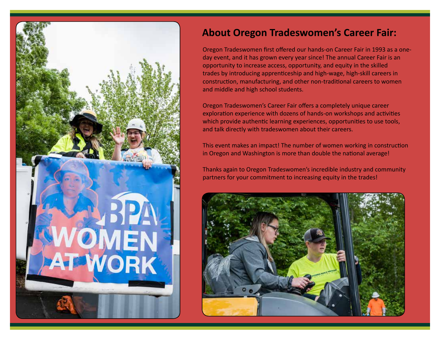

### **About Oregon Tradeswomen's Career Fair:**

Oregon Tradeswomen first offered our hands-on Career Fair in 1993 as a oneday event, and it has grown every year since! The annual Career Fair is an opportunity to increase access, opportunity, and equity in the skilled trades by introducing apprenticeship and high-wage, high-skill careers in construction, manufacturing, and other non-traditional careers to women and middle and high school students.

Oregon Tradeswomen's Career Fair offers a completely unique career exploration experience with dozens of hands-on workshops and activities which provide authentic learning experiences, opportunities to use tools, and talk directly with tradeswomen about their careers.

This event makes an impact! The number of women working in construction in Oregon and Washington is more than double the national average!

Thanks again to Oregon Tradeswomen's incredible industry and community partners for your commitment to increasing equity in the trades!

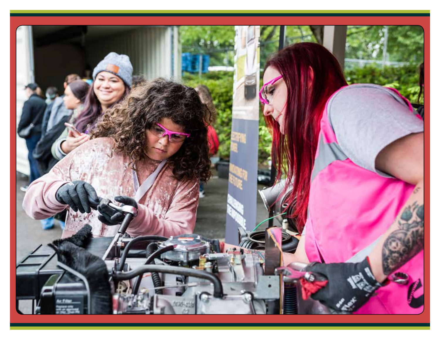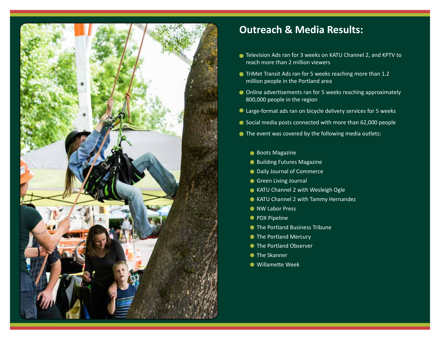

### **Outreach & Media Results:**

- Television Ads ran for 3 weeks on KATU Channel 2, and KPTV to reach more than 2 million viewers
- TriMet Transit Ads ran for 5 weeks reaching more than 1.2 million people in the Portland area
- Online advertisements ran for 5 weeks reaching approximately 800,000 people in the region
- Large-format ads ran on bicycle delivery services for 5 weeks
- Social media posts connected with more than 62,000 people
- $\bullet$  The event was covered by the following media outlets:
	- **Boots Magazine**
	- **Building Futures Magazine**
	- **Daily Journal of Commerce**
	- **Green Living Journal**
	- **KATU Channel 2 with Wesleigh Ogle**
	- **CATU Channel 2 with Tammy Hernandez**
	- **NW Labor Press**
	- **PDX Pipeline**
	- **The Portland Business Tribune**
	- **The Portland Mercury**
	- **The Portland Observer**
	- **The Skanner**
	- Willamette Week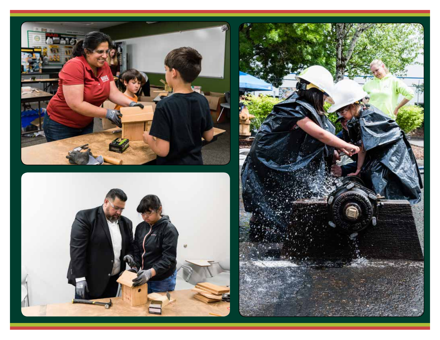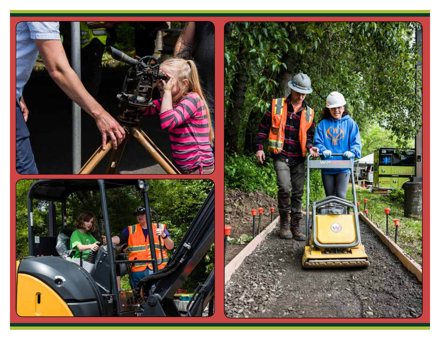